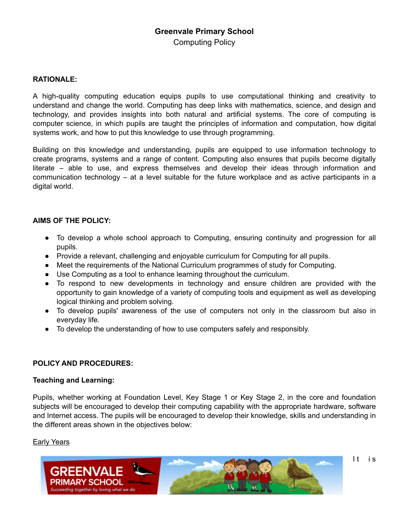# **Greenvale Primary School**  Computing Policy

#### **RATIONALE:**

A high-quality computing education equips pupils to use computational thinking and creativity to understand and change the world. Computing has deep links with mathematics, science, and design and technology, and provides insights into both natural and artificial systems. The core of computing is computer science, in which pupils are taught the principles of information and computation, how digital systems work, and how to put this knowledge to use through programming.

Building on this knowledge and understanding, pupils are equipped to use information technology to create programs, systems and a range of content. Computing also ensures that pupils become digitally literate – able to use, and express themselves and develop their ideas through information and communication technology – at a level suitable for the future workplace and as active participants in a digital world.

#### **AIMS OF THE POLICY:**

- To develop a whole school approach to Computing, ensuring continuity and progression for all pupils.
- Provide a relevant, challenging and enjoyable curriculum for Computing for all pupils.
- Meet the requirements of the National Curriculum programmes of study for Computing.
- Use Computing as a tool to enhance learning throughout the curriculum.
- To respond to new developments in technology and ensure children are provided with the opportunity to gain knowledge of a variety of computing tools and equipment as well as developing logical thinking and problem solving.
- To develop pupils' awareness of the use of computers not only in the classroom but also in everyday life.
- To develop the understanding of how to use computers safely and responsibly.

## **POLICY AND PROCEDURES:**

#### **Teaching and Learning:**

Pupils, whether working at Foundation Level, Key Stage 1 or Key Stage 2, in the core and foundation subjects will be encouraged to develop their computing capability with the appropriate hardware, software and Internet access. The pupils will be encouraged to develop their knowledge, skills and understanding in the different areas shown in the objectives below:

#### **Early Years**

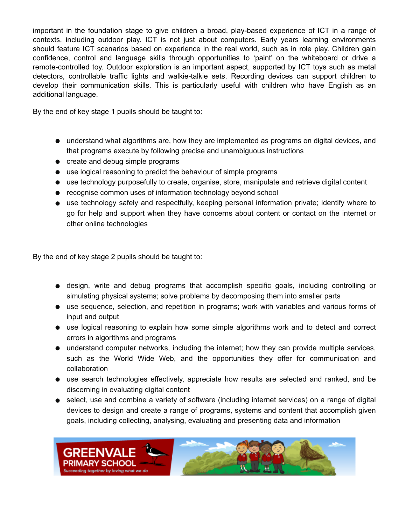important in the foundation stage to give children a broad, play-based experience of ICT in a range of contexts, including outdoor play. ICT is not just about computers. Early years learning environments should feature ICT scenarios based on experience in the real world, such as in role play. Children gain confidence, control and language skills through opportunities to 'paint' on the whiteboard or drive a remote-controlled toy. Outdoor exploration is an important aspect, supported by ICT toys such as metal detectors, controllable traffic lights and walkie-talkie sets. Recording devices can support children to develop their communication skills. This is particularly useful with children who have English as an additional language.

By the end of key stage 1 pupils should be taught to:

- understand what algorithms are, how they are implemented as programs on digital devices, and that programs execute by following precise and unambiguous instructions
- create and debug simple programs
- use logical reasoning to predict the behaviour of simple programs
- use technology purposefully to create, organise, store, manipulate and retrieve digital content
- recognise common uses of information technology beyond school
- use technology safely and respectfully, keeping personal information private; identify where to go for help and support when they have concerns about content or contact on the internet or other online technologies

By the end of key stage 2 pupils should be taught to:

- design, write and debug programs that accomplish specific goals, including controlling or simulating physical systems; solve problems by decomposing them into smaller parts
- use sequence, selection, and repetition in programs; work with variables and various forms of input and output
- use logical reasoning to explain how some simple algorithms work and to detect and correct errors in algorithms and programs
- understand computer networks, including the internet; how they can provide multiple services, such as the World Wide Web, and the opportunities they offer for communication and collaboration
- use search technologies effectively, appreciate how results are selected and ranked, and be discerning in evaluating digital content
- select, use and combine a variety of software (including internet services) on a range of digital devices to design and create a range of programs, systems and content that accomplish given goals, including collecting, analysing, evaluating and presenting data and information

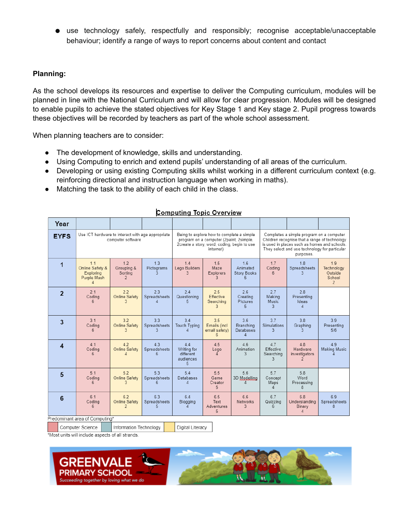● use technology safely, respectfully and responsibly; recognise acceptable/unacceptable behaviour; identify a range of ways to report concerns about content and contact

#### **Planning:**

As the school develops its resources and expertise to deliver the Computing curriculum, modules will be planned in line with the National Curriculum and will allow for clear progression. Modules will be designed to enable pupils to achieve the stated objectives for Key Stage 1 and Key stage 2. Pupil progress towards these objectives will be recorded by teachers as part of the whole school assessment.

When planning teachers are to consider:

- The development of knowledge, skills and understanding.
- Using Computing to enrich and extend pupils' understanding of all areas of the curriculum.
- Developing or using existing Computing skills whilst working in a different curriculum context (e.g. reinforcing directional and instruction language when working in maths).
- Matching the task to the ability of each child in the class.

|                | Year           |                                                                        |  |                                            |                         |  |                                                                                                                                                  |                                           |                                            |                                                                                                                                                                                                         |                                                 |                                                          |
|----------------|----------------|------------------------------------------------------------------------|--|--------------------------------------------|-------------------------|--|--------------------------------------------------------------------------------------------------------------------------------------------------|-------------------------------------------|--------------------------------------------|---------------------------------------------------------------------------------------------------------------------------------------------------------------------------------------------------------|-------------------------------------------------|----------------------------------------------------------|
|                | <b>EYFS</b>    | Use ICT hardware to interact with age appropriate<br>computer software |  |                                            |                         |  | Being to explore how to complete a simple<br>program on a computer (2paint, 2simple,<br>2create a story, word, coding, begin to use<br>internet) |                                           |                                            | Completes a simple program on a computer<br>Children recognise that a range of technology<br>is used in places such as homes and schools.<br>They select and use technology for particular<br>purposes. |                                                 |                                                          |
|                | 1              | 1.1<br>Online Safety &<br>Exploring<br>Purple Mash<br>л                |  | 1.2<br>Grouping &<br>Sorting<br>2          | 1.3<br>Pictograms       |  | 1.4<br>Lego Builders<br>3                                                                                                                        | 1.5<br>Maze<br>Explorers<br>3             | 1.6<br>Animated<br><b>Story Books</b><br>5 | 1.7<br>Coding<br>6                                                                                                                                                                                      | 1.8<br>Spreadsheets<br>3                        | 1.9<br>Technology<br>Outside<br>School<br>$\overline{2}$ |
|                | $\overline{2}$ | 2.1<br>Coding<br>6                                                     |  | 2.2<br><b>Online Safety</b><br>3           | 2.3<br>Spreadsheets     |  | 2.4<br>Questioning                                                                                                                               | 2.5<br>Effective<br>Searching<br>3        | 2.6<br>Creating<br>Plctures<br>5           | 2.7<br>Making<br>Music<br>3                                                                                                                                                                             | 2.8<br>Presenting<br>Ideas<br>$\overline{4}$    |                                                          |
| 3              |                | 3.1<br>Coding<br>6                                                     |  | 3.2<br><b>Online Safety</b><br>3           | 3.3<br>Spreadsheets     |  | 3.4<br><b>Touch Typing</b>                                                                                                                       | 3.5<br>Emails (incl<br>email safety)<br>6 | 3.6<br>Branching<br>Databases<br>Δ         | 3.7<br>Simulations<br>3                                                                                                                                                                                 | 3.8<br>Graphing                                 | 3.9<br>Presenting<br>5/6                                 |
| $\overline{4}$ |                | 41<br>Coding<br>6                                                      |  | 4.2<br><b>Online Safety</b><br>4           | 43<br>Spreadsheets<br>6 |  | 44<br>Writing for<br>different<br>audiences<br>5                                                                                                 | 4.5<br>Logo<br>$\Delta$                   | 46<br>Animation<br>3                       | 4.7<br>Effective<br>Searching                                                                                                                                                                           | 48<br>Hardware<br>investigators<br>2            | 49<br><b>Making Music</b>                                |
| 5              |                | 5.1<br>Coding<br>6                                                     |  | 5.2<br><b>Online Safety</b><br>3           | 53<br>Spreadsheets<br>6 |  | 54<br><b>Databases</b><br>4                                                                                                                      | 5.5<br>Game<br>Creator<br>5               | 56<br>3D Modelling<br>4                    | 5.7<br>Concept<br>Maps<br>$\overline{4}$                                                                                                                                                                | 5.8<br>Word<br>Processing<br>8                  |                                                          |
| 6              |                | 6.1<br>Coding<br>6                                                     |  | 6.2<br>Online Safety<br>2                  | 63<br>Spreadsheets<br>5 |  | 6.4<br>Blogging                                                                                                                                  | 6.5<br>Text<br>Adventures<br>5            | 66<br><b>Networks</b><br>3                 | 6.7<br>Quizzing<br>ĥ.                                                                                                                                                                                   | 68<br>Understanding<br>Binary<br>$\overline{4}$ | 69<br>Spreadsheets                                       |
|                |                | Predominant area of Computing*                                         |  |                                            |                         |  |                                                                                                                                                  |                                           |                                            |                                                                                                                                                                                                         |                                                 |                                                          |
|                |                | Computer Science                                                       |  | Digital Literacy<br>Information Technology |                         |  |                                                                                                                                                  |                                           |                                            |                                                                                                                                                                                                         |                                                 |                                                          |

#### **Computing Topic Overview**

\*Most units will include aspects of all strands.

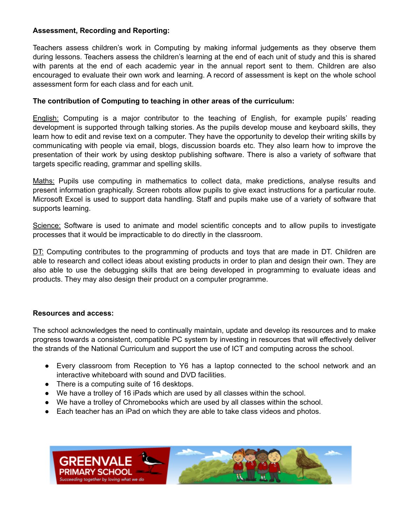#### **Assessment, Recording and Reporting:**

Teachers assess children's work in Computing by making informal judgements as they observe them during lessons. Teachers assess the children's learning at the end of each unit of study and this is shared with parents at the end of each academic year in the annual report sent to them. Children are also encouraged to evaluate their own work and learning. A record of assessment is kept on the whole school assessment form for each class and for each unit.

#### **The contribution of Computing to teaching in other areas of the curriculum:**

English: Computing is a major contributor to the teaching of English, for example pupils' reading development is supported through talking stories. As the pupils develop mouse and keyboard skills, they learn how to edit and revise text on a computer. They have the opportunity to develop their writing skills by communicating with people via email, blogs, discussion boards etc. They also learn how to improve the presentation of their work by using desktop publishing software. There is also a variety of software that targets specific reading, grammar and spelling skills.

Maths: Pupils use computing in mathematics to collect data, make predictions, analyse results and present information graphically. Screen robots allow pupils to give exact instructions for a particular route. Microsoft Excel is used to support data handling. Staff and pupils make use of a variety of software that supports learning.

Science: Software is used to animate and model scientific concepts and to allow pupils to investigate processes that it would be impracticable to do directly in the classroom.

DT: Computing contributes to the programming of products and toys that are made in DT. Children are able to research and collect ideas about existing products in order to plan and design their own. They are also able to use the debugging skills that are being developed in programming to evaluate ideas and products. They may also design their product on a computer programme.

#### **Resources and access:**

The school acknowledges the need to continually maintain, update and develop its resources and to make progress towards a consistent, compatible PC system by investing in resources that will effectively deliver the strands of the National Curriculum and support the use of ICT and computing across the school.

- Every classroom from Reception to Y6 has a laptop connected to the school network and an interactive whiteboard with sound and DVD facilities.
- There is a computing suite of 16 desktops.
- We have a trolley of 16 iPads which are used by all classes within the school.
- We have a trolley of Chromebooks which are used by all classes within the school.
- Each teacher has an iPad on which they are able to take class videos and photos.

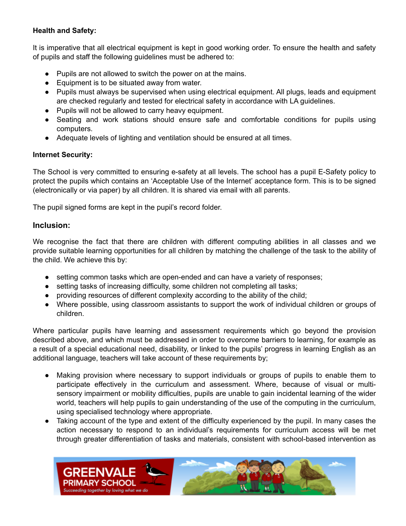## **Health and Safety:**

It is imperative that all electrical equipment is kept in good working order. To ensure the health and safety of pupils and staff the following guidelines must be adhered to:

- Pupils are not allowed to switch the power on at the mains.
- Equipment is to be situated away from water.
- Pupils must always be supervised when using electrical equipment. All plugs, leads and equipment are checked regularly and tested for electrical safety in accordance with LA guidelines.
- Pupils will not be allowed to carry heavy equipment.
- Seating and work stations should ensure safe and comfortable conditions for pupils using computers.
- Adequate levels of lighting and ventilation should be ensured at all times.

## **Internet Security:**

The School is very committed to ensuring e-safety at all levels. The school has a pupil E-Safety policy to protect the pupils which contains an 'Acceptable Use of the Internet' acceptance form. This is to be signed (electronically or via paper) by all children. It is shared via email with all parents.

The pupil signed forms are kept in the pupil's record folder.

## **Inclusion:**

We recognise the fact that there are children with different computing abilities in all classes and we provide suitable learning opportunities for all children by matching the challenge of the task to the ability of the child. We achieve this by:

- setting common tasks which are open-ended and can have a variety of responses;
- setting tasks of increasing difficulty, some children not completing all tasks;
- providing resources of different complexity according to the ability of the child;
- Where possible, using classroom assistants to support the work of individual children or groups of children.

Where particular pupils have learning and assessment requirements which go beyond the provision described above, and which must be addressed in order to overcome barriers to learning, for example as a result of a special educational need, disability, or linked to the pupils' progress in learning English as an additional language, teachers will take account of these requirements by;

- Making provision where necessary to support individuals or groups of pupils to enable them to participate effectively in the curriculum and assessment. Where, because of visual or multisensory impairment or mobility difficulties, pupils are unable to gain incidental learning of the wider world, teachers will help pupils to gain understanding of the use of the computing in the curriculum, using specialised technology where appropriate.
- Taking account of the type and extent of the difficulty experienced by the pupil. In many cases the action necessary to respond to an individual's requirements for curriculum access will be met through greater differentiation of tasks and materials, consistent with school-based intervention as

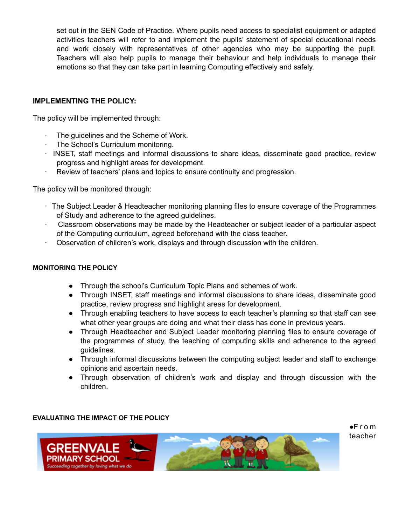set out in the SEN Code of Practice. Where pupils need access to specialist equipment or adapted activities teachers will refer to and implement the pupils' statement of special educational needs and work closely with representatives of other agencies who may be supporting the pupil. Teachers will also help pupils to manage their behaviour and help individuals to manage their emotions so that they can take part in learning Computing effectively and safely.

#### **IMPLEMENTING THE POLICY:**

The policy will be implemented through:

- The guidelines and the Scheme of Work.
- · The School's Curriculum monitoring.
- · INSET, staff meetings and informal discussions to share ideas, disseminate good practice, review progress and highlight areas for development.
- · Review of teachers' plans and topics to ensure continuity and progression.

The policy will be monitored through:

- · The Subject Leader & Headteacher monitoring planning files to ensure coverage of the Programmes of Study and adherence to the agreed guidelines.
- · Classroom observations may be made by the Headteacher or subject leader of a particular aspect of the Computing curriculum, agreed beforehand with the class teacher.
- · Observation of children's work, displays and through discussion with the children.

#### **MONITORING THE POLICY**

- Through the school's Curriculum Topic Plans and schemes of work.
- Through INSET, staff meetings and informal discussions to share ideas, disseminate good practice, review progress and highlight areas for development.
- Through enabling teachers to have access to each teacher's planning so that staff can see what other year groups are doing and what their class has done in previous years.
- Through Headteacher and Subject Leader monitoring planning files to ensure coverage of the programmes of study, the teaching of computing skills and adherence to the agreed guidelines.
- Through informal discussions between the computing subject leader and staff to exchange opinions and ascertain needs.
- Through observation of children's work and display and through discussion with the children.

#### **EVALUATING THE IMPACT OF THE POLICY**

●F r o m teacher